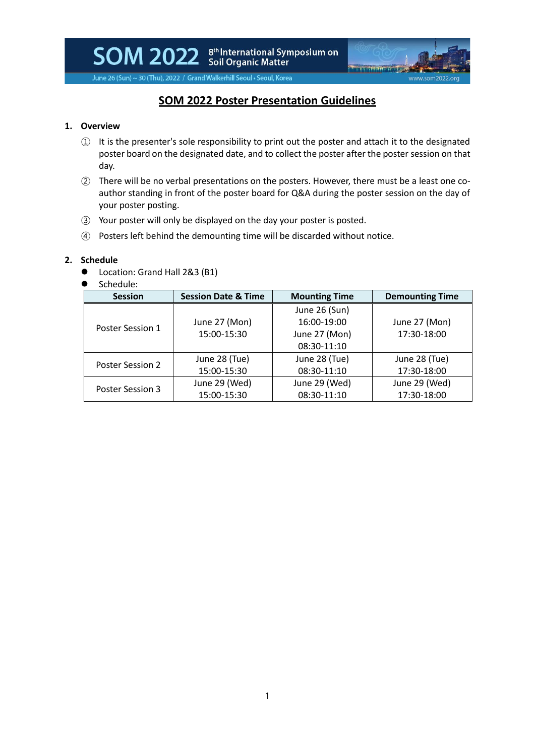SOM 2022 Stil Drganic Matter<br>Soil Organic Matter



June 26 (Sun) ~ 30 (Thu), 2022 / Grand Walkerhill Seoul . Seoul, Korea

# **SOM 2022 Poster Presentation Guidelines**

## **1. Overview**

- ① It is the presenter's sole responsibility to print out the poster and attach it to the designated poster board on the designated date, and to collect the poster after the poster session on that day.
- ② There will be no verbal presentations on the posters. However, there must be a least one coauthor standing in front of the poster board for Q&A during the poster session on the day of your poster posting.
- ③ Your poster will only be displayed on the day your poster is posted.
- ④ Posters left behind the demounting time will be discarded without notice.

#### **2. Schedule**

- Location: Grand Hall 2&3 (B1)
- Schedule:

| <b>Session</b>   | <b>Session Date &amp; Time</b> | <b>Mounting Time</b> | <b>Demounting Time</b> |
|------------------|--------------------------------|----------------------|------------------------|
| Poster Session 1 |                                | June 26 (Sun)        |                        |
|                  | June 27 (Mon)                  | 16:00-19:00          | June 27 (Mon)          |
|                  | 15:00-15:30                    | June 27 (Mon)        | 17:30-18:00            |
|                  |                                | 08:30-11:10          |                        |
| Poster Session 2 | June 28 (Tue)                  | June 28 (Tue)        | June 28 (Tue)          |
|                  | 15:00-15:30                    | 08:30-11:10          | 17:30-18:00            |
| Poster Session 3 | June 29 (Wed)                  | June 29 (Wed)        | June 29 (Wed)          |
|                  | 15:00-15:30                    | 08:30-11:10          | 17:30-18:00            |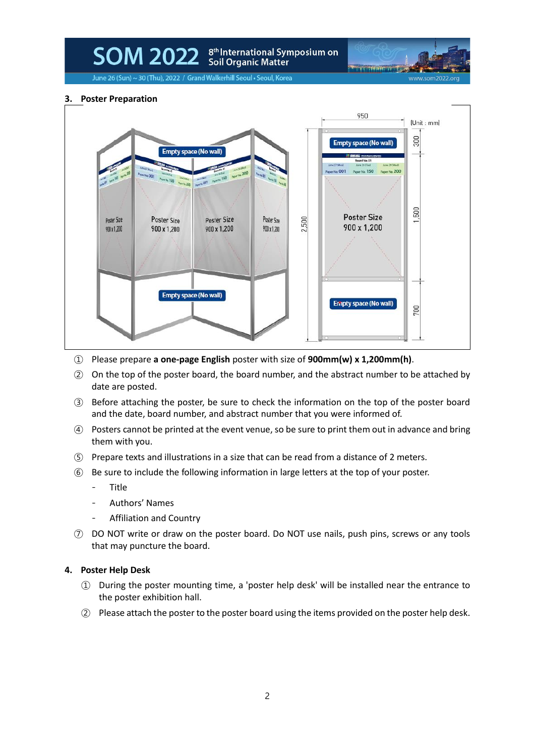# SOM 2022 Stil Drganic Matter<br>Soil Organic Matter

www.som2022.or

June 26 (Sun) ~ 30 (Thu), 2022 / Grand Walkerhill Seoul . Seoul, Korea

#### **3. Poster Preparation**



- ① Please prepare **a one-page English** poster with size of **900mm(w) x 1,200mm(h)**.
- ② On the top of the poster board, the board number, and the abstract number to be attached by date are posted.
- ③ Before attaching the poster, be sure to check the information on the top of the poster board and the date, board number, and abstract number that you were informed of.
- ④ Posters cannot be printed at the event venue, so be sure to print them out in advance and bring them with you.
- ⑤ Prepare texts and illustrations in a size that can be read from a distance of 2 meters.
- ⑥ Be sure to include the following information in large letters at the top of your poster.
	- Title
	- Authors' Names
	- Affiliation and Country
- ⑦ DO NOT write or draw on the poster board. Do NOT use nails, push pins, screws or any tools that may puncture the board.

#### **4. Poster Help Desk**

- ① During the poster mounting time, a 'poster help desk' will be installed near the entrance to the poster exhibition hall.
- ② Please attach the poster to the poster board using the items provided on the poster help desk.